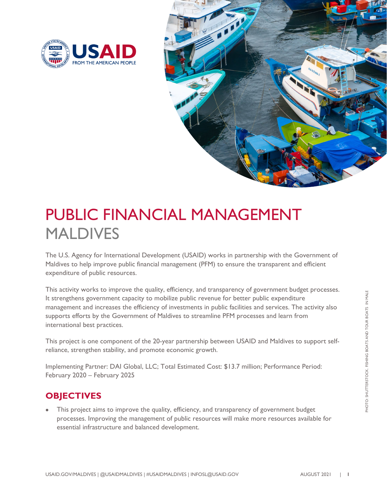



## PUBLIC FINANCIAL MANAGEMENT MALDIVES

The U.S. Agency for International Development (USAID) works in partnership with the Government of Maldives to help improve public financial management (PFM) to ensure the transparent and efficient expenditure of public resources.

This activity works to improve the quality, efficiency, and transparency of government budget processes. It strengthens government capacity to mobilize public revenue for better public expenditure management and increases the efficiency of investments in public facilities and services. The activity also supports efforts by the Government of Maldives to streamline PFM processes and learn from international best practices.

This project is one component of the 20-year partnership between USAID and Maldives to support selfreliance, strengthen stability, and promote economic growth.

Implementing Partner: DAI Global, LLC; Total Estimated Cost: \$13.7 million; Performance Period: February 2020 – February 2025

## **OBJECTIVES**

This project aims to improve the quality, efficiency, and transparency of government budget processes. Improving the management of public resources will make more resources available for essential infrastructure and balanced development.